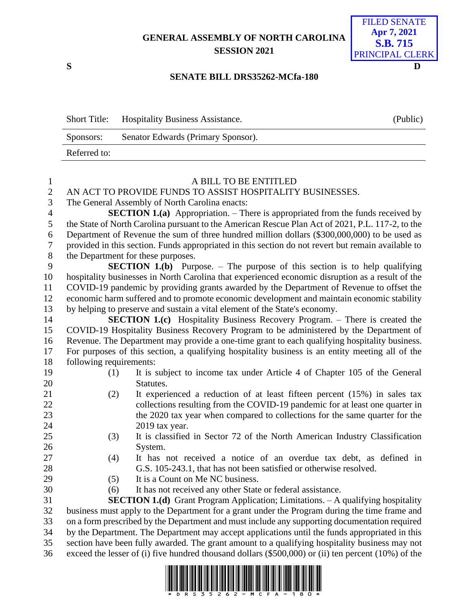## **GENERAL ASSEMBLY OF NORTH CAROLINA SESSION 2021**



## **SENATE BILL DRS35262-MCfa-180**

|              | Short Title: Hospitality Business Assistance. | (Public) |
|--------------|-----------------------------------------------|----------|
| Sponsors:    | Senator Edwards (Primary Sponsor).            |          |
| Referred to: |                                               |          |

| $\mathbf{1}$   |                                                                                                    | A BILL TO BE ENTITLED                                                                               |  |
|----------------|----------------------------------------------------------------------------------------------------|-----------------------------------------------------------------------------------------------------|--|
| $\sqrt{2}$     | AN ACT TO PROVIDE FUNDS TO ASSIST HOSPITALITY BUSINESSES.                                          |                                                                                                     |  |
| 3              | The General Assembly of North Carolina enacts:                                                     |                                                                                                     |  |
| $\overline{4}$ | <b>SECTION 1.(a)</b> Appropriation. – There is appropriated from the funds received by             |                                                                                                     |  |
| 5              | the State of North Carolina pursuant to the American Rescue Plan Act of 2021, P.L. 117-2, to the   |                                                                                                     |  |
| 6              | Department of Revenue the sum of three hundred million dollars (\$300,000,000) to be used as       |                                                                                                     |  |
| $\tau$         | provided in this section. Funds appropriated in this section do not revert but remain available to |                                                                                                     |  |
| $8\,$          | the Department for these purposes.                                                                 |                                                                                                     |  |
| 9              |                                                                                                    | <b>SECTION 1.(b)</b> Purpose. $-$ The purpose of this section is to help qualifying                 |  |
| 10             | hospitality businesses in North Carolina that experienced economic disruption as a result of the   |                                                                                                     |  |
| 11             | COVID-19 pandemic by providing grants awarded by the Department of Revenue to offset the           |                                                                                                     |  |
| 12             | economic harm suffered and to promote economic development and maintain economic stability         |                                                                                                     |  |
| 13             | by helping to preserve and sustain a vital element of the State's economy.                         |                                                                                                     |  |
| 14             |                                                                                                    | <b>SECTION 1.(c)</b> Hospitality Business Recovery Program. – There is created the                  |  |
| 15             |                                                                                                    | COVID-19 Hospitality Business Recovery Program to be administered by the Department of              |  |
| 16             | Revenue. The Department may provide a one-time grant to each qualifying hospitality business.      |                                                                                                     |  |
| 17             | For purposes of this section, a qualifying hospitality business is an entity meeting all of the    |                                                                                                     |  |
| 18             | following requirements:                                                                            |                                                                                                     |  |
| 19             | (1)                                                                                                | It is subject to income tax under Article 4 of Chapter 105 of the General                           |  |
| 20             |                                                                                                    | Statutes.                                                                                           |  |
| 21             | (2)                                                                                                | It experienced a reduction of at least fifteen percent (15%) in sales tax                           |  |
| 22             |                                                                                                    | collections resulting from the COVID-19 pandemic for at least one quarter in                        |  |
| 23             |                                                                                                    | the 2020 tax year when compared to collections for the same quarter for the                         |  |
| 24             |                                                                                                    | 2019 tax year.                                                                                      |  |
| 25             | (3)                                                                                                | It is classified in Sector 72 of the North American Industry Classification                         |  |
| 26             |                                                                                                    | System.                                                                                             |  |
| 27             | (4)                                                                                                | It has not received a notice of an overdue tax debt, as defined in                                  |  |
| 28             |                                                                                                    | G.S. 105-243.1, that has not been satisfied or otherwise resolved.                                  |  |
| 29             | (5)                                                                                                | It is a Count on Me NC business.                                                                    |  |
| 30             | (6)                                                                                                | It has not received any other State or federal assistance.                                          |  |
| 31             |                                                                                                    | SECTION 1.(d) Grant Program Application; Limitations. - A qualifying hospitality                    |  |
| 32             |                                                                                                    | business must apply to the Department for a grant under the Program during the time frame and       |  |
| 33             | on a form prescribed by the Department and must include any supporting documentation required      |                                                                                                     |  |
| 34             | by the Department. The Department may accept applications until the funds appropriated in this     |                                                                                                     |  |
| 35             | section have been fully awarded. The grant amount to a qualifying hospitality business may not     |                                                                                                     |  |
| 36             |                                                                                                    | exceed the lesser of (i) five hundred thousand dollars (\$500,000) or (ii) ten percent (10%) of the |  |
|                |                                                                                                    |                                                                                                     |  |